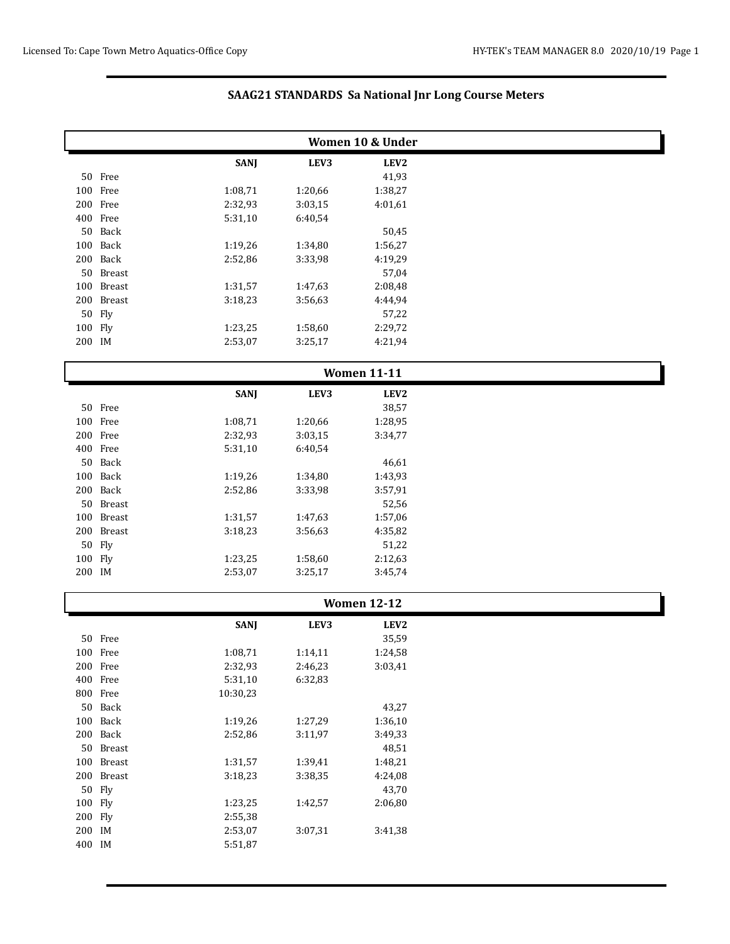|         |            |             |         | Women 10 & Under   |  |
|---------|------------|-------------|---------|--------------------|--|
|         |            | <b>SANJ</b> | LEV3    | LEV2               |  |
|         | 50 Free    |             |         | 41,93              |  |
|         | 100 Free   | 1:08,71     | 1:20,66 | 1:38,27            |  |
|         | 200 Free   | 2:32,93     | 3:03,15 | 4:01,61            |  |
|         | 400 Free   | 5:31,10     | 6:40,54 |                    |  |
|         | 50 Back    |             |         | 50,45              |  |
|         | 100 Back   | 1:19,26     | 1:34,80 | 1:56,27            |  |
|         | 200 Back   | 2:52,86     | 3:33,98 | 4:19,29            |  |
|         | 50 Breast  |             |         | 57,04              |  |
|         | 100 Breast | 1:31,57     | 1:47,63 | 2:08,48            |  |
|         | 200 Breast | 3:18,23     | 3:56,63 | 4:44,94            |  |
|         | 50 Fly     |             |         | 57,22              |  |
| 100 Fly |            | 1:23,25     | 1:58,60 | 2:29,72            |  |
| 200 IM  |            | 2:53,07     | 3:25,17 | 4:21,94            |  |
|         |            |             |         | <b>Women 11-11</b> |  |
|         |            | <b>SANJ</b> | LEV3    | LEV2               |  |
|         | 50 Free    |             |         | 38,57              |  |
|         | 100 Free   | 1:08,71     | 1:20,66 | 1:28,95            |  |
|         | 200 Free   | 2:32,93     | 3:03,15 | 3:34,77            |  |
|         | 400 Free   | 5:31,10     | 6:40,54 |                    |  |
|         | 50 Back    |             |         | 46,61              |  |
|         | 100 Back   | 1:19,26     | 1:34,80 | 1:43,93            |  |
|         | 200 Back   | 2:52,86     | 3:33,98 | 3:57,91            |  |
|         | 50 Breast  |             |         | 52,56              |  |
|         | 100 Breast | 1:31,57     | 1:47,63 | 1:57,06            |  |
|         | 200 Breast | 3:18,23     | 3:56,63 | 4:35,82            |  |
|         | 50 Fly     |             |         | 51,22              |  |
| 100 Fly |            | 1:23,25     | 1:58,60 | 2:12,63            |  |
| 200 IM  |            | 2:53,07     | 3:25,17 | 3:45,74            |  |
|         |            |             |         | <b>Women 12-12</b> |  |
|         |            | <b>SANJ</b> | LEV3    | LEV2               |  |
|         | 50 Free    |             |         | 35,59              |  |
|         | 100 Free   | 1:08,71     | 1:14,11 | 1:24,58            |  |
|         |            |             |         |                    |  |

|         |            | <b>Women 12-12</b> |         |                  |
|---------|------------|--------------------|---------|------------------|
|         |            | <b>SANJ</b>        | LEV3    | LEV <sub>2</sub> |
|         | 50 Free    |                    |         | 35,59            |
|         | 100 Free   | 1:08,71            | 1:14,11 | 1:24,58          |
|         | 200 Free   | 2:32,93            | 2:46,23 | 3:03,41          |
|         | 400 Free   | 5:31,10            | 6:32,83 |                  |
|         | 800 Free   | 10:30,23           |         |                  |
|         | 50 Back    |                    |         | 43,27            |
|         | 100 Back   | 1:19,26            | 1:27,29 | 1:36,10          |
|         | 200 Back   | 2:52,86            | 3:11,97 | 3:49,33          |
|         | 50 Breast  |                    |         | 48,51            |
|         | 100 Breast | 1:31,57            | 1:39,41 | 1:48,21          |
|         | 200 Breast | 3:18,23            | 3:38,35 | 4:24,08          |
|         | 50 Fly     |                    |         | 43,70            |
| 100 Fly |            | 1:23,25            | 1:42,57 | 2:06,80          |
| 200 Fly |            | 2:55,38            |         |                  |
| 200 IM  |            | 2:53,07            | 3:07,31 | 3:41,38          |
| 400 IM  |            | 5:51,87            |         |                  |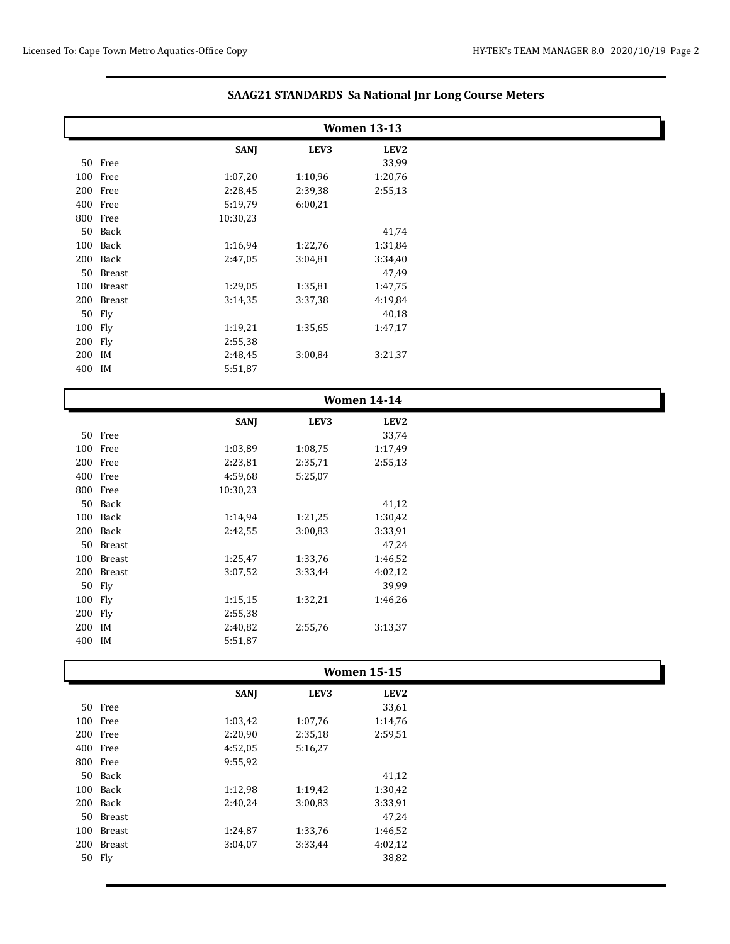|         |            |             |         | <b>Women 13-13</b> |  |
|---------|------------|-------------|---------|--------------------|--|
|         |            |             |         |                    |  |
|         | 50 Free    | <b>SANJ</b> | LEV3    | LEV2<br>33,99      |  |
|         | 100 Free   | 1:07,20     | 1:10,96 | 1:20,76            |  |
|         | 200 Free   | 2:28,45     | 2:39,38 | 2:55,13            |  |
|         | 400 Free   | 5:19,79     | 6:00,21 |                    |  |
|         | 800 Free   | 10:30,23    |         |                    |  |
|         | 50 Back    |             |         | 41,74              |  |
|         | 100 Back   | 1:16,94     | 1:22,76 | 1:31,84            |  |
|         | 200 Back   | 2:47,05     | 3:04,81 | 3:34,40            |  |
|         | 50 Breast  |             |         | 47,49              |  |
|         | 100 Breast | 1:29,05     | 1:35,81 | 1:47,75            |  |
|         | 200 Breast | 3:14,35     | 3:37,38 | 4:19,84            |  |
|         | 50 Fly     |             |         | 40,18              |  |
| 100 Fly |            | 1:19,21     | 1:35,65 | 1:47,17            |  |
| 200 Fly |            | 2:55,38     |         |                    |  |
| 200 IM  |            | 2:48,45     | 3:00,84 | 3:21,37            |  |
| 400 IM  |            | 5:51,87     |         |                    |  |
|         |            |             |         |                    |  |
|         |            |             |         | <b>Women 14-14</b> |  |
|         |            | <b>SANJ</b> | LEV3    | LEV <sub>2</sub>   |  |
|         | 50 Free    |             |         | 33,74              |  |
|         | 100 Free   | 1:03,89     | 1:08,75 | 1:17,49            |  |
|         | 200 Free   | 2:23,81     | 2:35,71 | 2:55,13            |  |
|         | 400 Free   | 4:59,68     | 5:25,07 |                    |  |
|         | 800 Free   | 10:30,23    |         |                    |  |
|         | 50 Back    |             |         | 41,12              |  |
|         | 100 Back   | 1:14,94     | 1:21,25 | 1:30,42            |  |
|         | 200 Back   | 2:42,55     | 3:00,83 | 3:33,91            |  |
|         | 50 Breast  |             |         | 47,24              |  |
|         | 100 Breast | 1:25,47     | 1:33,76 | 1:46,52            |  |
|         | 200 Breast | 3:07,52     | 3:33,44 | 4:02,12            |  |
|         | 50 Fly     |             |         | 39,99              |  |
| 100 Fly |            | 1:15,15     | 1:32,21 | 1:46,26            |  |
| 200 Fly |            | 2:55,38     |         |                    |  |
| 200 IM  |            | 2:40,82     | 2:55,76 | 3:13,37            |  |
| 400 IM  |            | 5:51,87     |         |                    |  |
|         |            |             |         | <b>Women 15-15</b> |  |
|         |            | <b>SANJ</b> | LEV3    | LEV <sub>2</sub>   |  |
|         | 50 Free    |             |         | 33,61              |  |
|         | 100 Free   | 1:03,42     | 1:07,76 | 1:14,76            |  |
|         | 200 Free   | 2:20,90     | 2:35,18 | 2:59,51            |  |
|         | 400 Free   | 4:52,05     | 5:16,27 |                    |  |
|         | 800 Free   | 9:55,92     |         |                    |  |
|         | 50 Back    |             |         | 41,12              |  |
|         | 100 Back   | 1:12,98     | 1:19,42 | 1:30,42            |  |
|         | 200 Back   | 2:40,24     | 3:00,83 | 3:33,91            |  |
|         | 50 Breast  |             |         | 47,24              |  |
|         | 100 Breast | 1:24,87     | 1:33,76 | 1:46,52            |  |
|         | 200 Breast | 3:04,07     | 3:33,44 | 4:02,12            |  |

Fly 38,82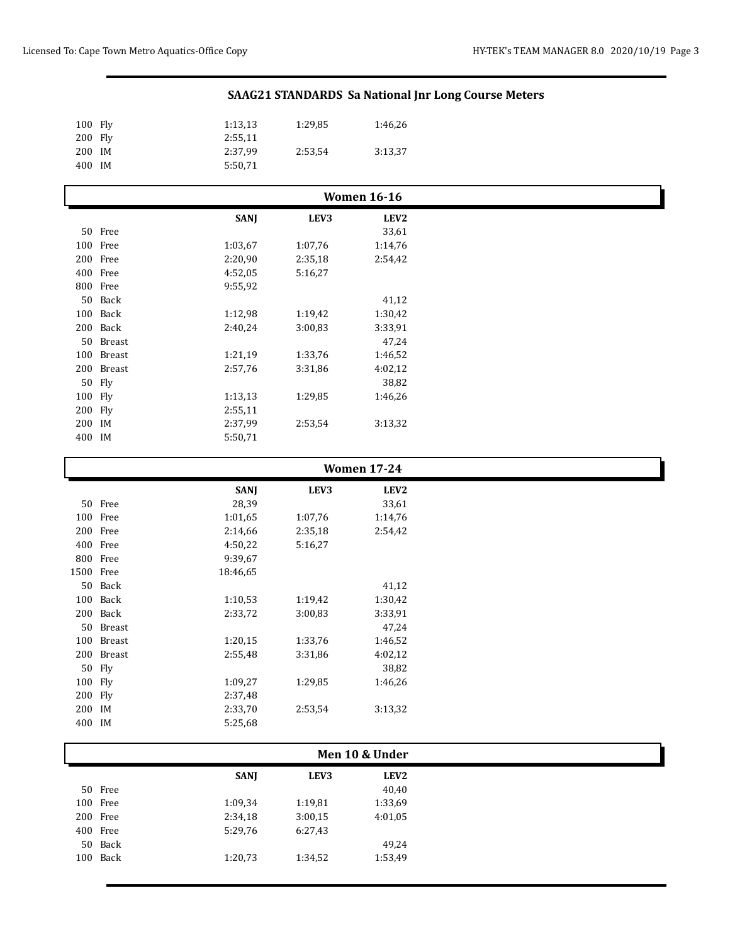| 100 Fly |            | 1:13,13     | 1:29,85 | 1:46,26            |
|---------|------------|-------------|---------|--------------------|
| 200 Fly |            | 2:55,11     |         |                    |
| 200 IM  |            | 2:37,99     | 2:53,54 | 3:13,37            |
| 400 IM  |            | 5:50,71     |         |                    |
|         |            |             |         |                    |
|         |            |             |         | <b>Women 16-16</b> |
|         |            | <b>SANJ</b> | LEV3    | LEV <sub>2</sub>   |
|         | 50 Free    |             |         | 33,61              |
|         | 100 Free   | 1:03,67     | 1:07,76 | 1:14,76            |
|         | 200 Free   | 2:20,90     | 2:35,18 | 2:54,42            |
|         | 400 Free   | 4:52,05     | 5:16,27 |                    |
|         | 800 Free   | 9:55,92     |         |                    |
|         | 50 Back    |             |         | 41,12              |
|         | 100 Back   | 1:12,98     | 1:19,42 | 1:30,42            |
|         | 200 Back   | 2:40,24     | 3:00,83 | 3:33,91            |
|         | 50 Breast  |             |         | 47,24              |
|         | 100 Breast | 1:21,19     | 1:33,76 | 1:46,52            |
|         | 200 Breast | 2:57,76     | 3:31,86 | 4:02,12            |
|         | 50 Fly     |             |         | 38,82              |
| 100 Fly |            | 1:13,13     | 1:29,85 | 1:46,26            |
| 200 Fly |            | 2:55,11     |         |                    |
| 200 IM  |            | 2:37,99     | 2:53,54 | 3:13,32            |
| 400 IM  |            | 5:50,71     |         |                    |

|           |            | <b>SANJ</b> | LEV3    | LEV <sub>2</sub> |  |
|-----------|------------|-------------|---------|------------------|--|
|           | 50 Free    | 28,39       |         | 33,61            |  |
|           | 100 Free   | 1:01,65     | 1:07,76 | 1:14,76          |  |
|           | 200 Free   | 2:14,66     | 2:35,18 | 2:54,42          |  |
|           | 400 Free   | 4:50,22     | 5:16,27 |                  |  |
|           | 800 Free   | 9:39,67     |         |                  |  |
| 1500 Free |            | 18:46.65    |         |                  |  |
|           | 50 Back    |             |         | 41,12            |  |
|           | 100 Back   | 1:10,53     | 1:19,42 | 1:30,42          |  |
|           | 200 Back   | 2:33,72     | 3:00,83 | 3:33,91          |  |
|           | 50 Breast  |             |         | 47,24            |  |
|           | 100 Breast | 1:20,15     | 1:33,76 | 1:46,52          |  |
|           | 200 Breast | 2:55,48     | 3:31,86 | 4:02,12          |  |
|           | 50 Fly     |             |         | 38,82            |  |
| 100 Fly   |            | 1:09,27     | 1:29,85 | 1:46,26          |  |
| 200 Fly   |            | 2:37,48     |         |                  |  |
| 200 IM    |            | 2:33,70     | 2:53,54 | 3:13,32          |  |
| 400 IM    |            | 5:25,68     |         |                  |  |

| Men 10 & Under |             |         |             |
|----------------|-------------|---------|-------------|
|                | <b>SANI</b> | LEV3    | <b>LEV2</b> |
| 50 Free        |             |         | 40,40       |
| 100 Free       | 1:09,34     | 1:19,81 | 1:33,69     |
| 200 Free       | 2:34,18     | 3:00,15 | 4:01,05     |
| 400 Free       | 5:29,76     | 6:27,43 |             |
| 50 Back        |             |         | 49,24       |
| 100 Back       | 1:20,73     | 1:34,52 | 1:53,49     |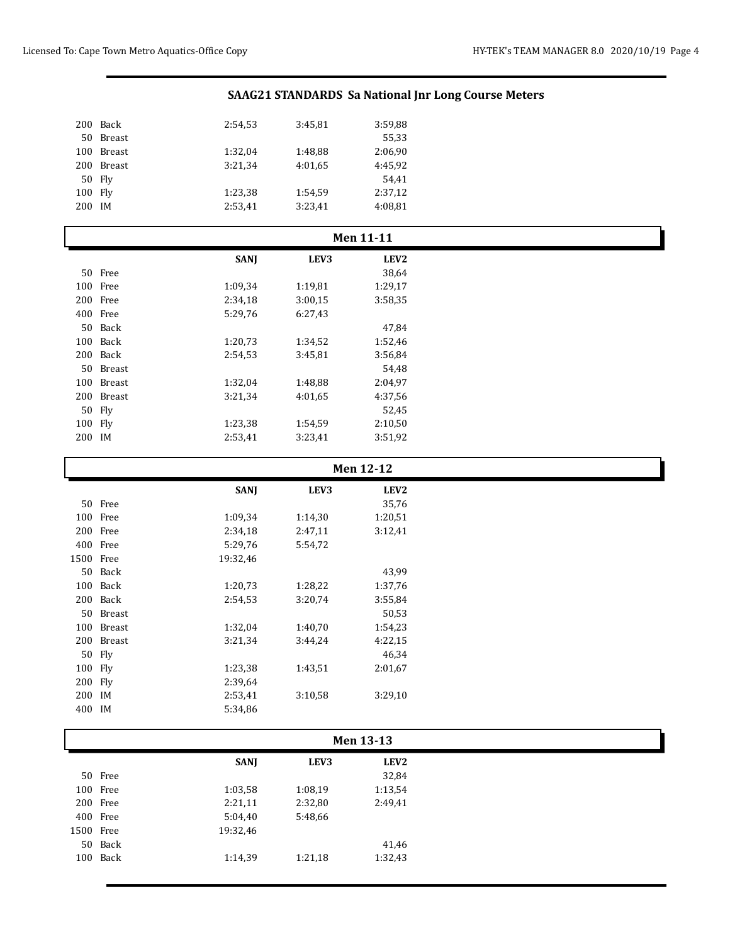| Back     | 2:54,53 | 3:45,81 | 3:59,88 |
|----------|---------|---------|---------|
| Breast   |         |         | 55,33   |
| Breast   | 1:32,04 | 1:48,88 | 2:06,90 |
| Breast   | 3:21,34 | 4:01.65 | 4:45.92 |
| $50$ Fly |         |         | 54.41   |
| 100 Fly  | 1:23,38 | 1:54,59 | 2:37,12 |
| 200 IM   | 2:53,41 | 3:23,41 | 4:08.81 |
|          |         |         |         |

|         |            |             | <b>Men 11-11</b> |                  |  |  |  |
|---------|------------|-------------|------------------|------------------|--|--|--|
|         |            | <b>SANI</b> | LEV3             | LEV <sub>2</sub> |  |  |  |
|         | 50 Free    |             |                  | 38,64            |  |  |  |
|         | 100 Free   | 1:09,34     | 1:19,81          | 1:29,17          |  |  |  |
|         | 200 Free   | 2:34,18     | 3:00,15          | 3:58,35          |  |  |  |
|         | 400 Free   | 5:29,76     | 6:27,43          |                  |  |  |  |
|         | 50 Back    |             |                  | 47,84            |  |  |  |
|         | 100 Back   | 1:20,73     | 1:34,52          | 1:52,46          |  |  |  |
|         | 200 Back   | 2:54,53     | 3:45,81          | 3:56,84          |  |  |  |
|         | 50 Breast  |             |                  | 54,48            |  |  |  |
|         | 100 Breast | 1:32,04     | 1:48,88          | 2:04,97          |  |  |  |
|         | 200 Breast | 3:21,34     | 4:01.65          | 4:37,56          |  |  |  |
|         | 50 Fly     |             |                  | 52,45            |  |  |  |
| 100 Fly |            | 1:23,38     | 1:54,59          | 2:10,50          |  |  |  |
| 200 IM  |            | 2:53,41     | 3:23,41          | 3:51,92          |  |  |  |

|           |            | <b>SANJ</b> | LEV3    | LEV <sub>2</sub> |  |
|-----------|------------|-------------|---------|------------------|--|
|           | 50 Free    |             |         | 35,76            |  |
|           | 100 Free   | 1:09,34     | 1:14,30 | 1:20,51          |  |
|           | 200 Free   | 2:34,18     | 2:47,11 | 3:12,41          |  |
|           | 400 Free   | 5:29,76     | 5:54,72 |                  |  |
| 1500 Free |            | 19:32,46    |         |                  |  |
|           | 50 Back    |             |         | 43,99            |  |
|           | 100 Back   | 1:20,73     | 1:28,22 | 1:37,76          |  |
|           | 200 Back   | 2:54,53     | 3:20,74 | 3:55,84          |  |
|           | 50 Breast  |             |         | 50,53            |  |
|           | 100 Breast | 1:32,04     | 1:40,70 | 1:54,23          |  |
|           | 200 Breast | 3:21,34     | 3:44,24 | 4:22,15          |  |
|           | 50 Fly     |             |         | 46,34            |  |
| 100 Fly   |            | 1:23,38     | 1:43,51 | 2:01,67          |  |
| 200 Flv   |            | 2:39,64     |         |                  |  |
| 200 IM    |            | 2:53,41     | 3:10,58 | 3:29,10          |  |
| 400 IM    |            | 5:34,86     |         |                  |  |

|           | <b>Men 13-13</b> |             |         |                  |  |
|-----------|------------------|-------------|---------|------------------|--|
|           |                  | <b>SANI</b> | LEV3    | LEV <sub>2</sub> |  |
|           | 50 Free          |             |         | 32,84            |  |
|           | 100 Free         | 1:03,58     | 1:08.19 | 1:13,54          |  |
|           | 200 Free         | 2:21,11     | 2:32,80 | 2:49,41          |  |
|           | 400 Free         | 5:04,40     | 5:48,66 |                  |  |
| 1500 Free |                  | 19:32,46    |         |                  |  |
|           | 50 Back          |             |         | 41,46            |  |
|           | 100 Back         | 1:14,39     | 1:21,18 | 1:32,43          |  |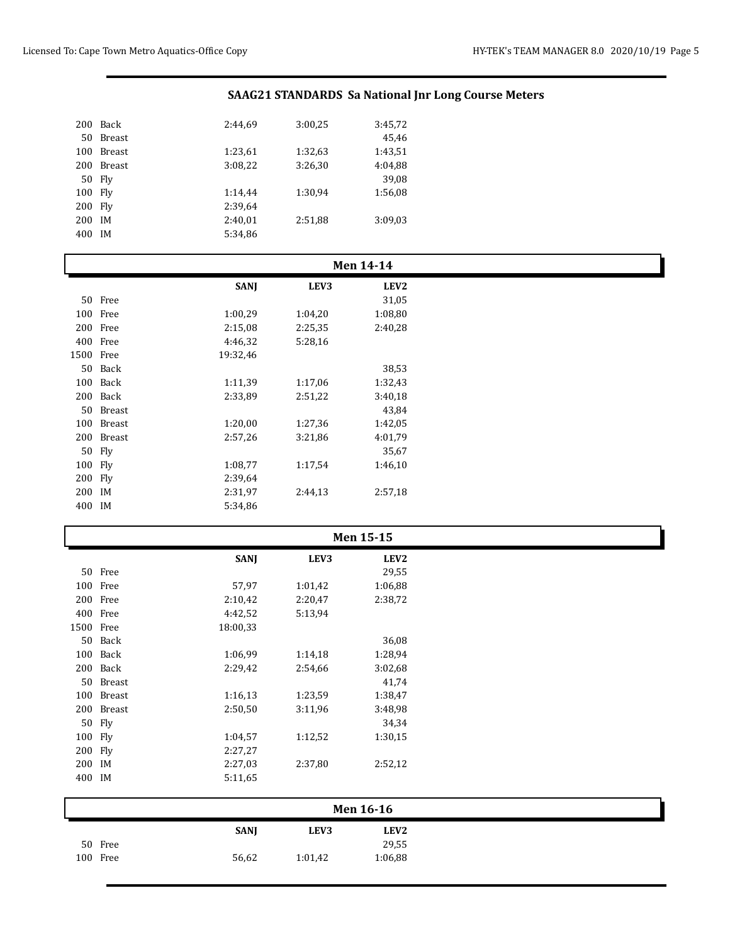| 200    | Back          | 2:44.69 | 3:00,25 | 3:45,72 |
|--------|---------------|---------|---------|---------|
| 50     | Breast        |         |         | 45.46   |
| 100    | <b>Breast</b> | 1:23,61 | 1:32,63 | 1:43,51 |
| 200    | <b>Breast</b> | 3:08,22 | 3:26,30 | 4:04.88 |
| 50 Fly |               |         |         | 39,08   |
| 100    | Fly           | 1:14.44 | 1:30.94 | 1:56,08 |
| 200    | Fly           | 2:39.64 |         |         |
| 200    | ΙM            | 2:40,01 | 2:51,88 | 3:09.03 |
| 400    | ΙM            | 5:34,86 |         |         |

Free 56,62 1:01,42 1:06,88

| <b>Men 14-14</b> |            |             |         |                  |  |
|------------------|------------|-------------|---------|------------------|--|
|                  |            | <b>SANJ</b> | LEV3    | LEV <sub>2</sub> |  |
|                  | 50 Free    |             |         | 31,05            |  |
|                  | 100 Free   | 1:00,29     | 1:04,20 | 1:08,80          |  |
|                  | 200 Free   | 2:15,08     | 2:25,35 | 2:40,28          |  |
|                  | 400 Free   | 4:46,32     | 5:28,16 |                  |  |
| 1500 Free        |            | 19:32,46    |         |                  |  |
|                  | 50 Back    |             |         | 38,53            |  |
|                  | 100 Back   | 1:11,39     | 1:17,06 | 1:32,43          |  |
|                  | 200 Back   | 2:33,89     | 2:51,22 | 3:40,18          |  |
|                  | 50 Breast  |             |         | 43,84            |  |
|                  | 100 Breast | 1:20,00     | 1:27,36 | 1:42,05          |  |
|                  | 200 Breast | 2:57,26     | 3:21,86 | 4:01,79          |  |
|                  | 50 Fly     |             |         | 35,67            |  |
| 100 Fly          |            | 1:08,77     | 1:17,54 | 1:46,10          |  |
| 200 Fly          |            | 2:39,64     |         |                  |  |
| 200 IM           |            | 2:31,97     | 2:44,13 | 2:57,18          |  |
| 400 IM           |            | 5:34,86     |         |                  |  |

| Men 15-15 |            |             |         |                  |  |  |
|-----------|------------|-------------|---------|------------------|--|--|
|           |            | <b>SANJ</b> | LEV3    | LEV <sub>2</sub> |  |  |
|           | 50 Free    |             |         | 29,55            |  |  |
|           | 100 Free   | 57,97       | 1:01,42 | 1:06,88          |  |  |
|           | 200 Free   | 2:10,42     | 2:20,47 | 2:38,72          |  |  |
|           | 400 Free   | 4:42,52     | 5:13,94 |                  |  |  |
| 1500 Free |            | 18:00,33    |         |                  |  |  |
|           | 50 Back    |             |         | 36,08            |  |  |
|           | 100 Back   | 1:06,99     | 1:14,18 | 1:28,94          |  |  |
|           | 200 Back   | 2:29,42     | 2:54,66 | 3:02,68          |  |  |
|           | 50 Breast  |             |         | 41,74            |  |  |
|           | 100 Breast | 1:16,13     | 1:23,59 | 1:38,47          |  |  |
|           | 200 Breast | 2:50,50     | 3:11,96 | 3:48,98          |  |  |
|           | 50 Fly     |             |         | 34,34            |  |  |
| 100 Fly   |            | 1:04,57     | 1:12,52 | 1:30,15          |  |  |
| 200 Fly   |            | 2:27,27     |         |                  |  |  |
| 200 IM    |            | 2:27,03     | 2:37,80 | 2:52,12          |  |  |
| 400 IM    |            | 5:11,65     |         |                  |  |  |
| Men 16-16 |            |             |         |                  |  |  |
|           |            | <b>SANJ</b> | LEV3    | LEV <sub>2</sub> |  |  |
|           | 50 Free    |             |         | 29,55            |  |  |